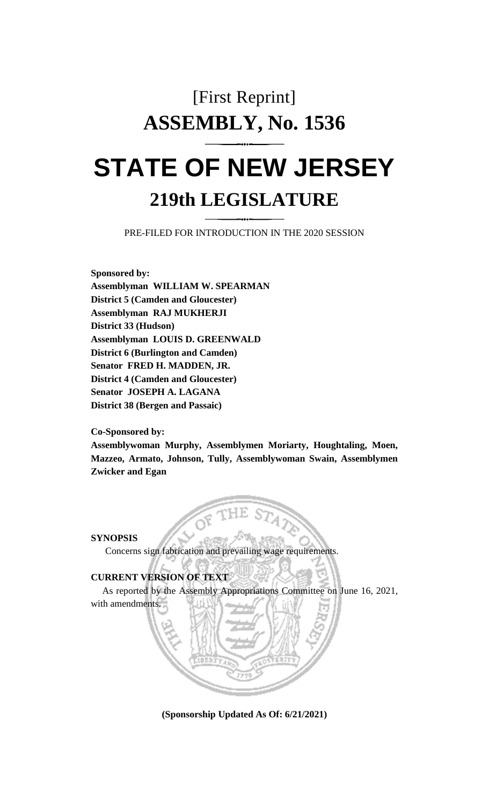# [First Reprint] **ASSEMBLY, No. 1536 STATE OF NEW JERSEY**

# **219th LEGISLATURE**

PRE-FILED FOR INTRODUCTION IN THE 2020 SESSION

**Sponsored by: Assemblyman WILLIAM W. SPEARMAN District 5 (Camden and Gloucester) Assemblyman RAJ MUKHERJI District 33 (Hudson) Assemblyman LOUIS D. GREENWALD District 6 (Burlington and Camden) Senator FRED H. MADDEN, JR. District 4 (Camden and Gloucester) Senator JOSEPH A. LAGANA District 38 (Bergen and Passaic)**

**Co-Sponsored by:**

**Assemblywoman Murphy, Assemblymen Moriarty, Houghtaling, Moen, Mazzeo, Armato, Johnson, Tully, Assemblywoman Swain, Assemblymen Zwicker and Egan**

**SYNOPSIS**

with amendments.

Concerns sign fabrication and prevailing wage requirements.

## **CURRENT VERSION OF TEXT**

As reported by the Assembly Appropriations Committee on June 16, 2021,

**(Sponsorship Updated As Of: 6/21/2021)**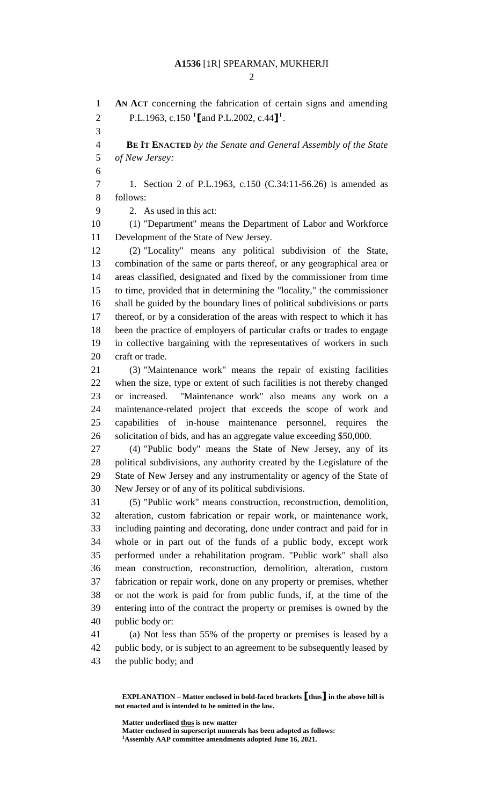#### **A1536** [1R] SPEARMAN, MUKHERJI

 **AN ACT** concerning the fabrication of certain signs and amending P.L.1963, c.150 **<sup>1</sup> [**and P.L.2002, c.44**] 1** . **BE IT ENACTED** *by the Senate and General Assembly of the State of New Jersey:* 1. Section 2 of P.L.1963, c.150 (C.34:11-56.26) is amended as follows: 2. As used in this act: (1) "Department" means the Department of Labor and Workforce Development of the State of New Jersey. (2) "Locality" means any political subdivision of the State, combination of the same or parts thereof, or any geographical area or areas classified, designated and fixed by the commissioner from time to time, provided that in determining the "locality," the commissioner shall be guided by the boundary lines of political subdivisions or parts thereof, or by a consideration of the areas with respect to which it has been the practice of employers of particular crafts or trades to engage in collective bargaining with the representatives of workers in such craft or trade. (3) "Maintenance work" means the repair of existing facilities when the size, type or extent of such facilities is not thereby changed or increased. "Maintenance work" also means any work on a maintenance-related project that exceeds the scope of work and capabilities of in-house maintenance personnel, requires the solicitation of bids, and has an aggregate value exceeding \$50,000. (4) "Public body" means the State of New Jersey, any of its political subdivisions, any authority created by the Legislature of the State of New Jersey and any instrumentality or agency of the State of New Jersey or of any of its political subdivisions. (5) "Public work" means construction, reconstruction, demolition, alteration, custom fabrication or repair work, or maintenance work, including painting and decorating, done under contract and paid for in whole or in part out of the funds of a public body, except work performed under a rehabilitation program. "Public work" shall also mean construction, reconstruction, demolition, alteration, custom fabrication or repair work, done on any property or premises, whether or not the work is paid for from public funds, if, at the time of the entering into of the contract the property or premises is owned by the public body or: (a) Not less than 55% of the property or premises is leased by a public body, or is subject to an agreement to be subsequently leased by the public body; and

**Matter underlined thus is new matter**

**EXPLANATION – Matter enclosed in bold-faced brackets [thus] in the above bill is not enacted and is intended to be omitted in the law.**

**Matter enclosed in superscript numerals has been adopted as follows: Assembly AAP committee amendments adopted June 16, 2021.**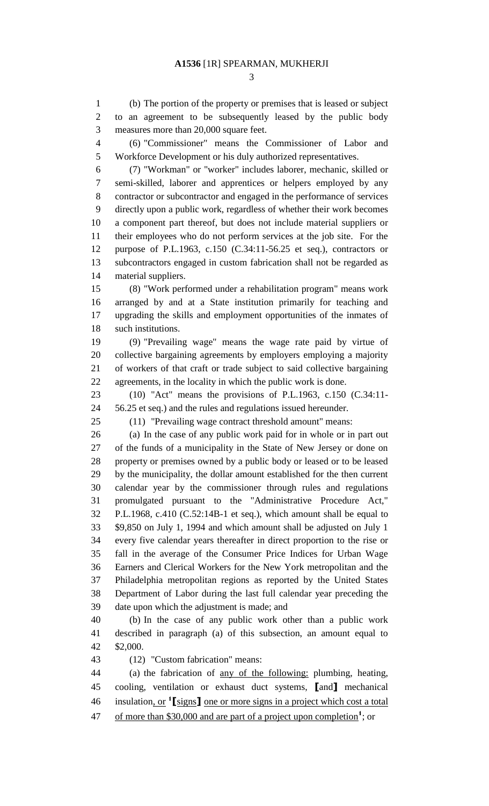(b) The portion of the property or premises that is leased or subject to an agreement to be subsequently leased by the public body measures more than 20,000 square feet.

 (6) "Commissioner" means the Commissioner of Labor and Workforce Development or his duly authorized representatives.

 (7) "Workman" or "worker" includes laborer, mechanic, skilled or semi-skilled, laborer and apprentices or helpers employed by any contractor or subcontractor and engaged in the performance of services directly upon a public work, regardless of whether their work becomes a component part thereof, but does not include material suppliers or their employees who do not perform services at the job site. For the purpose of P.L.1963, c.150 (C.34:11-56.25 et seq.), contractors or subcontractors engaged in custom fabrication shall not be regarded as material suppliers.

 (8) "Work performed under a rehabilitation program" means work arranged by and at a State institution primarily for teaching and upgrading the skills and employment opportunities of the inmates of such institutions.

 (9) "Prevailing wage" means the wage rate paid by virtue of collective bargaining agreements by employers employing a majority of workers of that craft or trade subject to said collective bargaining agreements, in the locality in which the public work is done.

 (10) "Act" means the provisions of P.L.1963, c.150 (C.34:11- 56.25 et seq.) and the rules and regulations issued hereunder.

(11) "Prevailing wage contract threshold amount" means:

 (a) In the case of any public work paid for in whole or in part out of the funds of a municipality in the State of New Jersey or done on property or premises owned by a public body or leased or to be leased by the municipality, the dollar amount established for the then current calendar year by the commissioner through rules and regulations promulgated pursuant to the "Administrative Procedure Act," P.L.1968, c.410 (C.52:14B-1 et seq.), which amount shall be equal to \$9,850 on July 1, 1994 and which amount shall be adjusted on July 1 every five calendar years thereafter in direct proportion to the rise or fall in the average of the Consumer Price Indices for Urban Wage Earners and Clerical Workers for the New York metropolitan and the Philadelphia metropolitan regions as reported by the United States Department of Labor during the last full calendar year preceding the date upon which the adjustment is made; and

 (b) In the case of any public work other than a public work described in paragraph (a) of this subsection, an amount equal to \$2,000.

(12) "Custom fabrication" means:

 (a) the fabrication of any of the following: plumbing, heating, cooling, ventilation or exhaust duct systems, **[**and**]** mechanical insulation, or **<sup>1</sup> [**signs**]** one or more signs in a project which cost a total 47 of more than \$30,000 and are part of a project upon completion<sup>1</sup>; or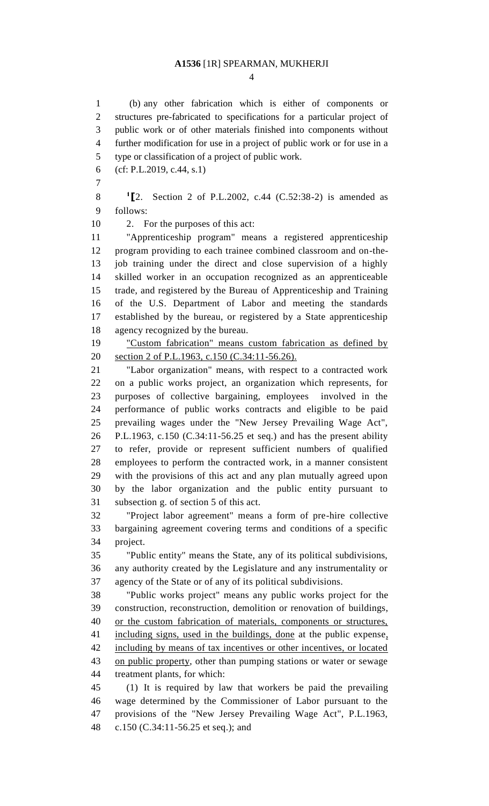#### **A1536** [1R] SPEARMAN, MUKHERJI

 (b) any other fabrication which is either of components or structures pre-fabricated to specifications for a particular project of public work or of other materials finished into components without further modification for use in a project of public work or for use in a type or classification of a project of public work.

(cf: P.L.2019, c.44, s.1)

**1 [**2. Section 2 of P.L.2002, c.44 (C.52:38-2) is amended as follows:

2. For the purposes of this act:

 "Apprenticeship program" means a registered apprenticeship program providing to each trainee combined classroom and on-the- job training under the direct and close supervision of a highly skilled worker in an occupation recognized as an apprenticeable trade, and registered by the Bureau of Apprenticeship and Training of the U.S. Department of Labor and meeting the standards established by the bureau, or registered by a State apprenticeship agency recognized by the bureau.

 "Custom fabrication" means custom fabrication as defined by section 2 of P.L.1963, c.150 (C.34:11-56.26).

 "Labor organization" means, with respect to a contracted work on a public works project, an organization which represents, for purposes of collective bargaining, employees involved in the performance of public works contracts and eligible to be paid prevailing wages under the "New Jersey Prevailing Wage Act", P.L.1963, c.150 (C.34:11-56.25 et seq.) and has the present ability to refer, provide or represent sufficient numbers of qualified employees to perform the contracted work, in a manner consistent with the provisions of this act and any plan mutually agreed upon by the labor organization and the public entity pursuant to subsection g. of section 5 of this act.

 "Project labor agreement" means a form of pre-hire collective bargaining agreement covering terms and conditions of a specific project.

 "Public entity" means the State, any of its political subdivisions, any authority created by the Legislature and any instrumentality or agency of the State or of any of its political subdivisions.

 "Public works project" means any public works project for the construction, reconstruction, demolition or renovation of buildings, or the custom fabrication of materials, components or structures, including signs, used in the buildings, done at the public expense, 42 including by means of tax incentives or other incentives, or located 43 on public property, other than pumping stations or water or sewage treatment plants, for which:

 (1) It is required by law that workers be paid the prevailing wage determined by the Commissioner of Labor pursuant to the provisions of the "New Jersey Prevailing Wage Act", P.L.1963, c.150 (C.34:11-56.25 et seq.); and